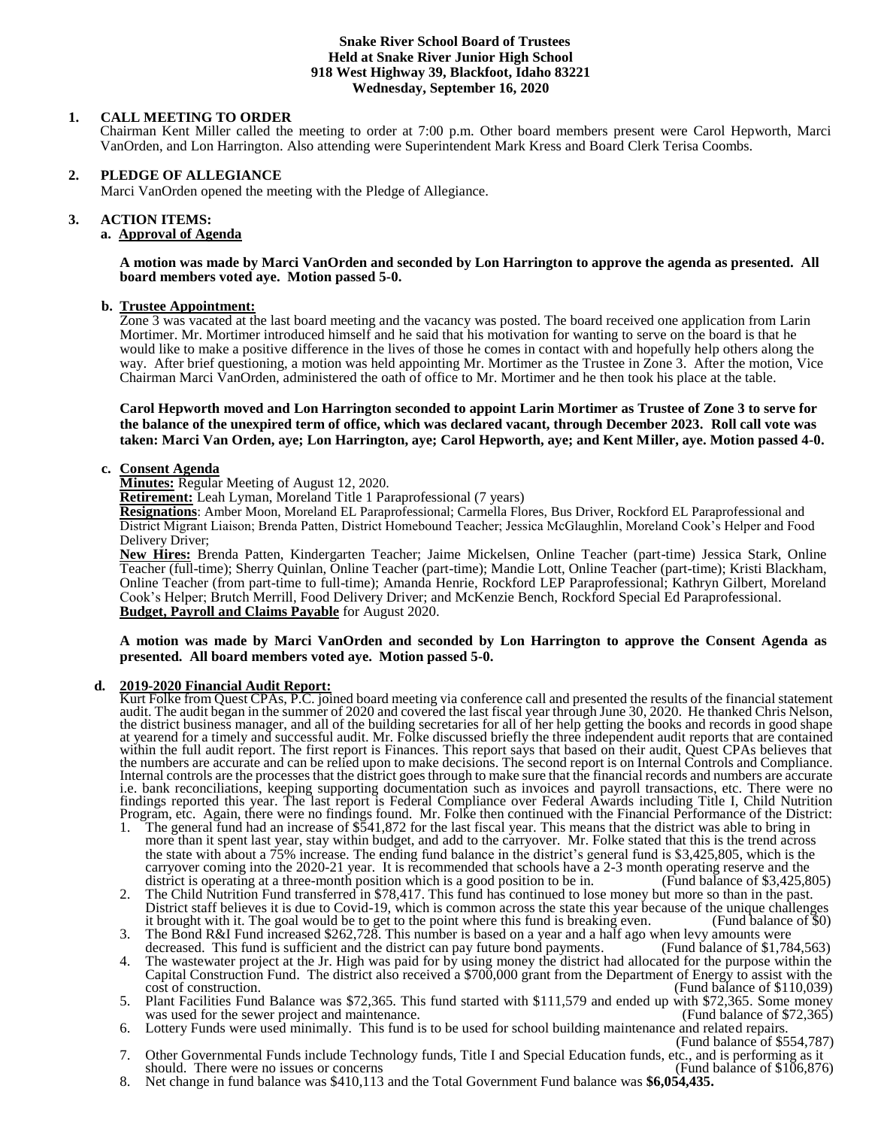### **Snake River School Board of Trustees Held at Snake River Junior High School 918 West Highway 39, Blackfoot, Idaho 83221 Wednesday, September 16, 2020**

# **1. CALL MEETING TO ORDER**

Chairman Kent Miller called the meeting to order at 7:00 p.m. Other board members present were Carol Hepworth, Marci VanOrden, and Lon Harrington. Also attending were Superintendent Mark Kress and Board Clerk Terisa Coombs.

# **2. PLEDGE OF ALLEGIANCE**

Marci VanOrden opened the meeting with the Pledge of Allegiance.

#### 3. **3. ACTION ITEMS:**

# **a. Approval of Agenda**

**A motion was made by Marci VanOrden and seconded by Lon Harrington to approve the agenda as presented. All board members voted aye. Motion passed 5-0.**

# **b. Trustee Appointment:**

Zone 3 was vacated at the last board meeting and the vacancy was posted. The board received one application from Larin Mortimer. Mr. Mortimer introduced himself and he said that his motivation for wanting to serve on the board is that he would like to make a positive difference in the lives of those he comes in contact with and hopefully help others along the way. After brief questioning, a motion was held appointing Mr. Mortimer as the Trustee in Zone 3. After the motion, Vice Chairman Marci VanOrden, administered the oath of office to Mr. Mortimer and he then took his place at the table.

### **Carol Hepworth moved and Lon Harrington seconded to appoint Larin Mortimer as Trustee of Zone 3 to serve for the balance of the unexpired term of office, which was declared vacant, through December 2023. Roll call vote was taken: Marci Van Orden, aye; Lon Harrington, aye; Carol Hepworth, aye; and Kent Miller, aye. Motion passed 4-0.**

# **c. Consent Agenda**

**Minutes:** Regular Meeting of August 12, 2020.

**Retirement:** Leah Lyman, Moreland Title 1 Paraprofessional (7 years)

**Resignations**: Amber Moon, Moreland EL Paraprofessional; Carmella Flores, Bus Driver, Rockford EL Paraprofessional and District Migrant Liaison; Brenda Patten, District Homebound Teacher; Jessica McGlaughlin, Moreland Cook's Helper and Food Delivery Driver;

**New Hires:** Brenda Patten, Kindergarten Teacher; Jaime Mickelsen, Online Teacher (part-time) Jessica Stark, Online Teacher (full-time); Sherry Quinlan, Online Teacher (part-time); Mandie Lott, Online Teacher (part-time); Kristi Blackham, Online Teacher (from part-time to full-time); Amanda Henrie, Rockford LEP Paraprofessional; Kathryn Gilbert, Moreland Cook's Helper; Brutch Merrill, Food Delivery Driver; and McKenzie Bench, Rockford Special Ed Paraprofessional. **Budget, Payroll and Claims Payable** for August 2020.

#### **A motion was made by Marci VanOrden and seconded by Lon Harrington to approve the Consent Agenda as presented. All board members voted aye. Motion passed 5-0.**

# **d. 2019-2020 Financial Audit Report:**

Kurt Folke from Quest CPAs, P.C. joined board meeting via conference call and presented the results of the financial statement audit. The audit began in the summer of 2020 and covered the last fiscal year through June 30, 2020. He thanked Chris Nelson, the district business manager, and all of the building secretaries for all of her help getting the books and records in good shape at yearend for a timely and successful audit. Mr. Folke discussed briefly the three independent audit reports that are contained within the full audit report. The first report is Finances. This report says that based on their audit, Quest CPAs believes that the numbers are accurate and can be relied upon to make decisions. The second report is on Internal Controls and Compliance. Internal controls are the processes that the district goes through to make sure that the financial records and numbers are accurate i.e. bank reconciliations, keeping supporting documentation such as invoices and payroll transactions, etc. There were no findings reported this year. The last report is Federal Compliance over Federal Awards including Title I, Child Nutrition Program, etc. Again, there were no findings found. Mr. Folke then continued with the Financial Performance of the District:

- 1. The general fund had an increase of \$541,872 for the last fiscal year. This means that the district was able to bring in more than it spent last year, stay within budget, and add to the carryover. Mr. Folke stated that this is the trend across the state with about a  $75\%$  increase. The ending fund balance in the district's general fund is \$3,425,805, which is the carryover coming into the 2020-21 year. It is recommended that schools have a 2-3 month operating reserve and the district is operating at a three-month position which is a good position to be in. (Fund balance of \$3,425,8 district is operating at a three-month position which is a good position to be in.
- 2. The Child Nutrition Fund transferred in \$78,417. This fund has continued to lose money but more so than in the past. District staff believes it is due to Covid-19, which is common across the state this year because of the unique challenges it brought with it. The goal would be to get to the point where this fund is breaking even. (Fund balance of \$0)
- 3. The Bond R&I Fund increased \$262,728. This number is based on a year and a half ago when levy amounts were decreased. This fund is sufficient and the district can pay future bond payments.
- 4. The wastewater project at the Jr. High was paid for by using money the district had allocated for the purpose within the Capital Construction Fund. The district also received a \$700,000 grant from the Department of Energy to assist with the cost of construction. (Fund balance of \$110,039)  $(Fund balance of $110,039)$
- 5. Plant Facilities Fund Balance was \$72,365. This fund started with \$111,579 and ended up with \$72,365. Some money was used for the sewer project and maintenance.
- 6. Lottery Funds were used minimally. This fund is to be used for school building maintenance and related repairs. (Fund balance of \$554,787)
- 7. Other Governmental Funds include Technology funds, Title I and Special Education funds, etc., and is performing as it should. There were no issues or concerns
- 8. Net change in fund balance was \$410,113 and the Total Government Fund balance was **\$6,054,435.**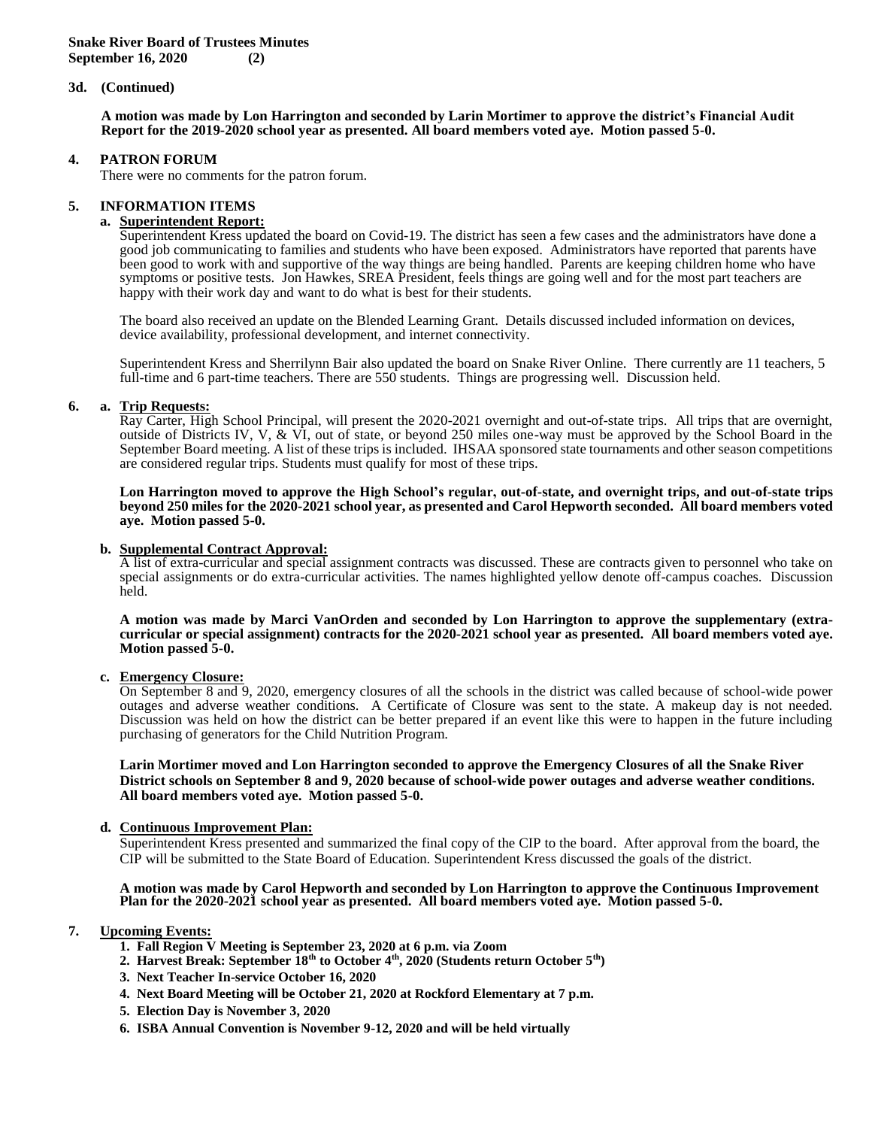### **3d. (Continued)**

**A motion was made by Lon Harrington and seconded by Larin Mortimer to approve the district's Financial Audit Report for the 2019-2020 school year as presented. All board members voted aye. Motion passed 5-0.**

#### **4. PATRON FORUM**

There were no comments for the patron forum.

### **5. INFORMATION ITEMS**

#### **a. Superintendent Report:**

Superintendent Kress updated the board on Covid-19. The district has seen a few cases and the administrators have done a good job communicating to families and students who have been exposed. Administrators have reported that parents have been good to work with and supportive of the way things are being handled. Parents are keeping children home who have symptoms or positive tests. Jon Hawkes, SREA President, feels things are going well and for the most part teachers are happy with their work day and want to do what is best for their students.

 The board also received an update on the Blended Learning Grant. Details discussed included information on devices, device availability, professional development, and internet connectivity.

Superintendent Kress and Sherrilynn Bair also updated the board on Snake River Online. There currently are 11 teachers, 5 full-time and 6 part-time teachers. There are 550 students. Things are progressing well. Discussion held.

# **6. a. Trip Requests:**

Ray Carter, High School Principal, will present the 2020-2021 overnight and out-of-state trips. All trips that are overnight, outside of Districts IV, V, & VI, out of state, or beyond 250 miles one-way must be approved by the School Board in the September Board meeting. A list of these trips is included. IHSAA sponsored state tournaments and other season competitions are considered regular trips. Students must qualify for most of these trips.

**Lon Harrington moved to approve the High School's regular, out-of-state, and overnight trips, and out-of-state trips beyond 250 miles for the 2020-2021 school year, as presented and Carol Hepworth seconded. All board members voted aye. Motion passed 5-0.**

# **b. Supplemental Contract Approval:**

A list of extra-curricular and special assignment contracts was discussed. These are contracts given to personnel who take on special assignments or do extra-curricular activities. The names highlighted yellow denote off-campus coaches. Discussion held.

**A motion was made by Marci VanOrden and seconded by Lon Harrington to approve the supplementary (extracurricular or special assignment) contracts for the 2020-2021 school year as presented. All board members voted aye. Motion passed 5-0.**

# **c. Emergency Closure:**

On September 8 and 9, 2020, emergency closures of all the schools in the district was called because of school-wide power outages and adverse weather conditions. A Certificate of Closure was sent to the state. A makeup day is not needed. Discussion was held on how the district can be better prepared if an event like this were to happen in the future including purchasing of generators for the Child Nutrition Program.

#### **Larin Mortimer moved and Lon Harrington seconded to approve the Emergency Closures of all the Snake River District schools on September 8 and 9, 2020 because of school-wide power outages and adverse weather conditions. All board members voted aye. Motion passed 5-0.**

# **d. Continuous Improvement Plan:**

Superintendent Kress presented and summarized the final copy of the CIP to the board. After approval from the board, the CIP will be submitted to the State Board of Education. Superintendent Kress discussed the goals of the district.

#### **A motion was made by Carol Hepworth and seconded by Lon Harrington to approve the Continuous Improvement Plan for the 2020-2021 school year as presented. All board members voted aye. Motion passed 5-0.**

# **7. Upcoming Events:**

- **1. Fall Region V Meeting is September 23, 2020 at 6 p.m. via Zoom**
- **2. Harvest Break: September 18th to October 4th, 2020 (Students return October 5th)**
- **3. Next Teacher In-service October 16, 2020**
- **4. Next Board Meeting will be October 21, 2020 at Rockford Elementary at 7 p.m.**
- **5. Election Day is November 3, 2020**
- **6. ISBA Annual Convention is November 9-12, 2020 and will be held virtually**